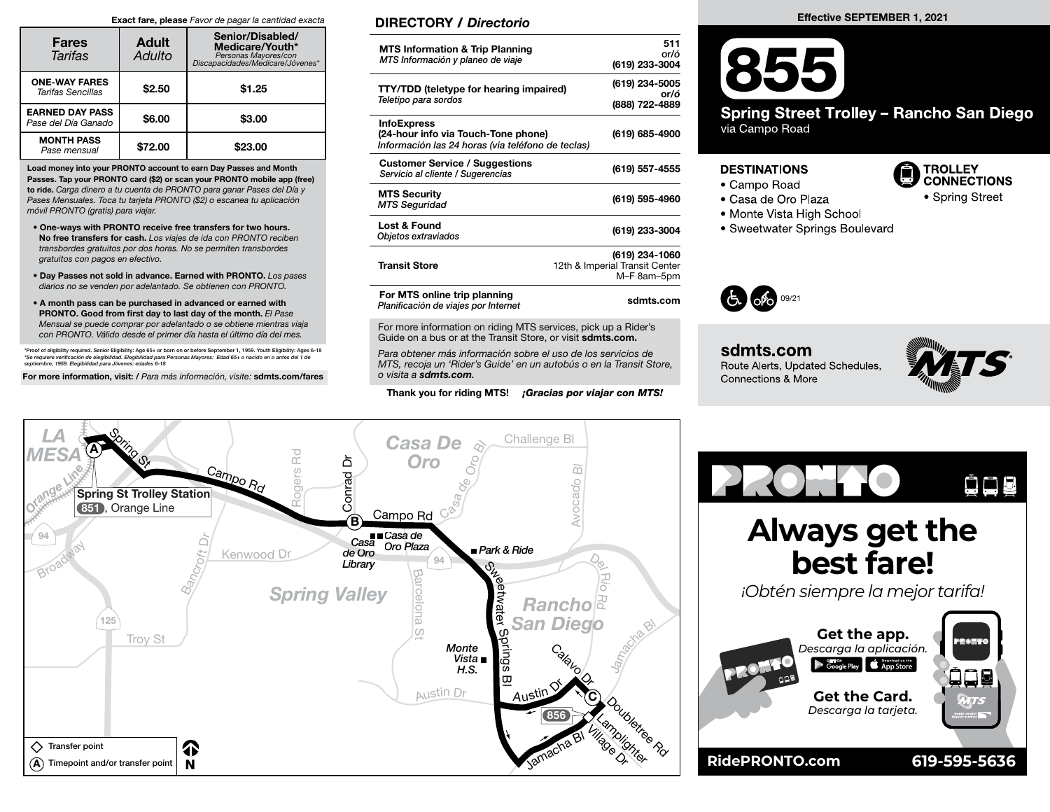## Exact fare, please Favor de pagar la cantidad exacta

| <b>Fares</b><br>Tarifas                       | <b>Adult</b><br>Adulto | Senior/Disabled/<br>Medicare/Youth*<br>Personas Mayores/con<br>*Discapacidades/Medicare/Jóvenes |  |  |  |
|-----------------------------------------------|------------------------|-------------------------------------------------------------------------------------------------|--|--|--|
| <b>ONE-WAY FARES</b><br>Tarifas Sencillas     | \$2.50                 | \$1.25                                                                                          |  |  |  |
| <b>EARNED DAY PASS</b><br>Pase del Día Ganado | \$6.00                 | \$3.00                                                                                          |  |  |  |
| <b>MONTH PASS</b><br>Pase mensual             | \$72.00                | \$23,00                                                                                         |  |  |  |

Load money into your PRONTO account to earn Day Passes and Month Passes. Tap your PRONTO card (\$2) or scan your PRONTO mobile app (free) to ride. Carga dinero a tu cuenta de PRONTO para ganar Pases del Día y Pases Mensuales. Toca tu tarjeta PRONTO (\$2) o escanea tu aplicación móvil PRONTO (gratis) para viajar.

- One-ways with PRONTO receive free transfers for two hours. No free transfers for cash. Los viajes de ida con PRONTO reciben transbordes gratuitos por dos horas. No se permiten transbordes gratuitos con pagos en efectivo.
- Day Passes not sold in advance. Earned with PRONTO. Los pases diarios no se venden por adelantado. Se obtienen con PRONTO.
- A month pass can be purchased in advanced or earned with PRONTO. Good from first day to last day of the month. El Pase Mensual se puede comprar por adelantado o se obtiene mientras viaja con PRONTO. Válido desde el primer día hasta el último día del mes.

\*Proof of eligibility required. Senior Eligibility: Age 65+ or born on or before September 1, 1959. Youth Eligibility: Ages 6-18<br>\*Se requiere verificación de elegibilidad. Elegibilidad para Personas Mayores: Edad 65+ o nac

For more information, visit: / Para más información, visite: sdmts.com/fares

## DIRECTORY / Directorio

| <b>MTS Information &amp; Trip Planning</b><br>MTS Información y planeo de viaje                                | 511<br>or/ó<br>(619) 233-3004                                   |
|----------------------------------------------------------------------------------------------------------------|-----------------------------------------------------------------|
| <b>TTY/TDD (teletype for hearing impaired)</b><br>Teletipo para sordos                                         | (619) 234-5005<br>or/ó<br>(888) 722-4889                        |
| <b>InfoExpress</b><br>(24-hour info via Touch-Tone phone)<br>Información las 24 horas (via teléfono de teclas) | (619) 685-4900                                                  |
| <b>Customer Service / Suggestions</b><br>Servicio al cliente / Sugerencias                                     | (619) 557-4555                                                  |
| <b>MTS Security</b><br><b>MTS Seguridad</b>                                                                    | (619) 595-4960                                                  |
| Lost & Found<br>Objetos extraviados                                                                            | (619) 233-3004                                                  |
| <b>Transit Store</b>                                                                                           | (619) 234-1060<br>12th & Imperial Transit Center<br>M-F 8am-5pm |
| For MTS online trip planning<br>Planificación de viajes por Internet                                           | sdmts.com                                                       |

For more information on riding MTS services, pick up a Rider's Guide on a bus or at the Transit Store, or visit sdmts.com.

Para obtener más información sobre el uso de los servicios de MTS, recoja un 'Rider's Guide' en un autobús o en la Transit Store, o visita a sdmts.com.

Thank you for riding MTS! *¡Gracias por viajar con MTS!* 

## Effective SEPTEMBER 1, 2021



## **DESTINATIONS**

- Campo Road
- Casa de Oro Plaza
- Monte Vista High School
- Sweetwater Springs Boulevard



sdmts.com Route Alerts, Updated Schedules, Connections & More



**TROLLEY CONNECTIONS** 

• Spring Street